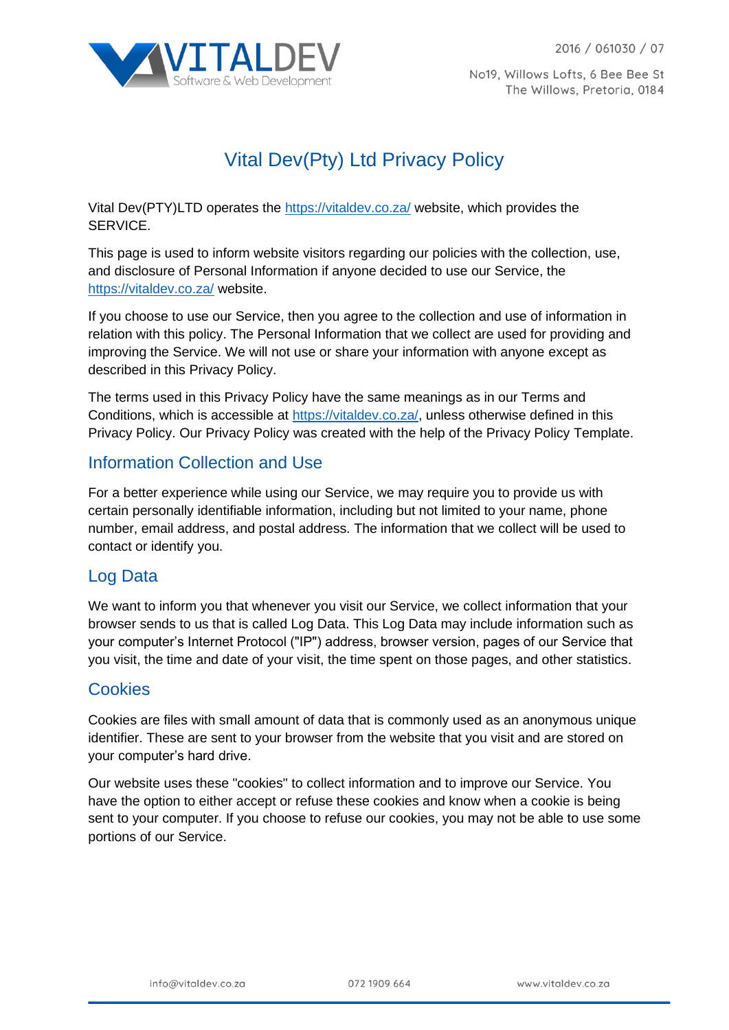

No19, Willows Lofts, 6 Bee Bee St The Willows, Pretoria, 0184

# Vital Dev(Pty) Ltd Privacy Policy

Vital Dev(PTY)LTD operates the<https://vitaldev.co.za/> website, which provides the SERVICE.

This page is used to inform website visitors regarding our policies with the collection, use, and disclosure of Personal Information if anyone decided to use our Service, the <https://vitaldev.co.za/> website.

If you choose to use our Service, then you agree to the collection and use of information in relation with this policy. The Personal Information that we collect are used for providing and improving the Service. We will not use or share your information with anyone except as described in this Privacy Policy.

The terms used in this Privacy Policy have the same meanings as in our Terms and Conditions, which is accessible at [https://vitaldev.co.za/,](https://vitaldev.co.za/) unless otherwise defined in this Privacy Policy. Our Privacy Policy was created with the help of the Privacy Policy Template.

### Information Collection and Use

For a better experience while using our Service, we may require you to provide us with certain personally identifiable information, including but not limited to your name, phone number, email address, and postal address. The information that we collect will be used to contact or identify you.

#### Log Data

We want to inform you that whenever you visit our Service, we collect information that your browser sends to us that is called Log Data. This Log Data may include information such as your computer's Internet Protocol ("IP") address, browser version, pages of our Service that you visit, the time and date of your visit, the time spent on those pages, and other statistics.

#### **Cookies**

Cookies are files with small amount of data that is commonly used as an anonymous unique identifier. These are sent to your browser from the website that you visit and are stored on your computer's hard drive.

Our website uses these "cookies" to collect information and to improve our Service. You have the option to either accept or refuse these cookies and know when a cookie is being sent to your computer. If you choose to refuse our cookies, you may not be able to use some portions of our Service.